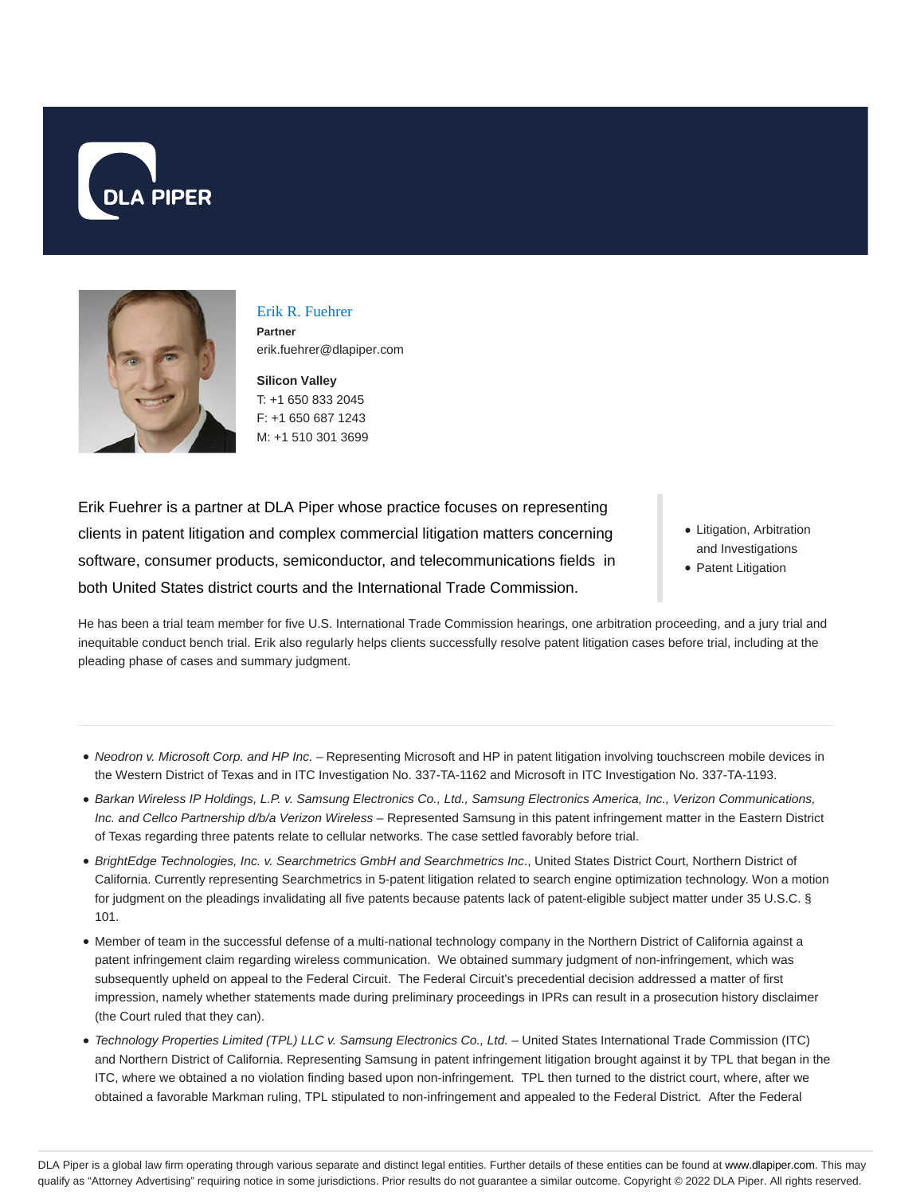



Erik R. Fuehrer **Partner** erik.fuehrer@dlapiper.com

**Silicon Valley** T: +1 650 833 2045 F: +1 650 687 1243 M: +1 510 301 3699

Erik Fuehrer is a partner at DLA Piper whose practice focuses on representing clients in patent litigation and complex commercial litigation matters concerning software, consumer products, semiconductor, and telecommunications fields in both United States district courts and the International Trade Commission.

- Litigation, Arbitration and Investigations
- Patent Litigation

He has been a trial team member for five U.S. International Trade Commission hearings, one arbitration proceeding, and a jury trial and inequitable conduct bench trial. Erik also regularly helps clients successfully resolve patent litigation cases before trial, including at the pleading phase of cases and summary judgment.

- Neodron v. Microsoft Corp. and HP Inc. Representing Microsoft and HP in patent litigation involving touchscreen mobile devices in the Western District of Texas and in ITC Investigation No. 337-TA-1162 and Microsoft in ITC Investigation No. 337-TA-1193.
- Barkan Wireless IP Holdings, L.P. v. Samsung Electronics Co., Ltd., Samsung Electronics America, Inc., Verizon Communications, Inc. and Cellco Partnership d/b/a Verizon Wireless – Represented Samsung in this patent infringement matter in the Eastern District of Texas regarding three patents relate to cellular networks. The case settled favorably before trial.
- · BrightEdge Technologies, Inc. v. Searchmetrics GmbH and Searchmetrics Inc., United States District Court, Northern District of California. Currently representing Searchmetrics in 5-patent litigation related to search engine optimization technology. Won a motion for judgment on the pleadings invalidating all five patents because patents lack of patent-eligible subject matter under 35 U.S.C. § 101.
- Member of team in the successful defense of a multi-national technology company in the Northern District of California against a patent infringement claim regarding wireless communication. We obtained summary judgment of non-infringement, which was subsequently upheld on appeal to the Federal Circuit. The Federal Circuit's precedential decision addressed a matter of first impression, namely whether statements made during preliminary proceedings in IPRs can result in a prosecution history disclaimer (the Court ruled that they can).
- Technology Properties Limited (TPL) LLC v. Samsung Electronics Co., Ltd. United States International Trade Commission (ITC) and Northern District of California. Representing Samsung in patent infringement litigation brought against it by TPL that began in the ITC, where we obtained a no violation finding based upon non-infringement. TPL then turned to the district court, where, after we obtained a favorable Markman ruling, TPL stipulated to non-infringement and appealed to the Federal District. After the Federal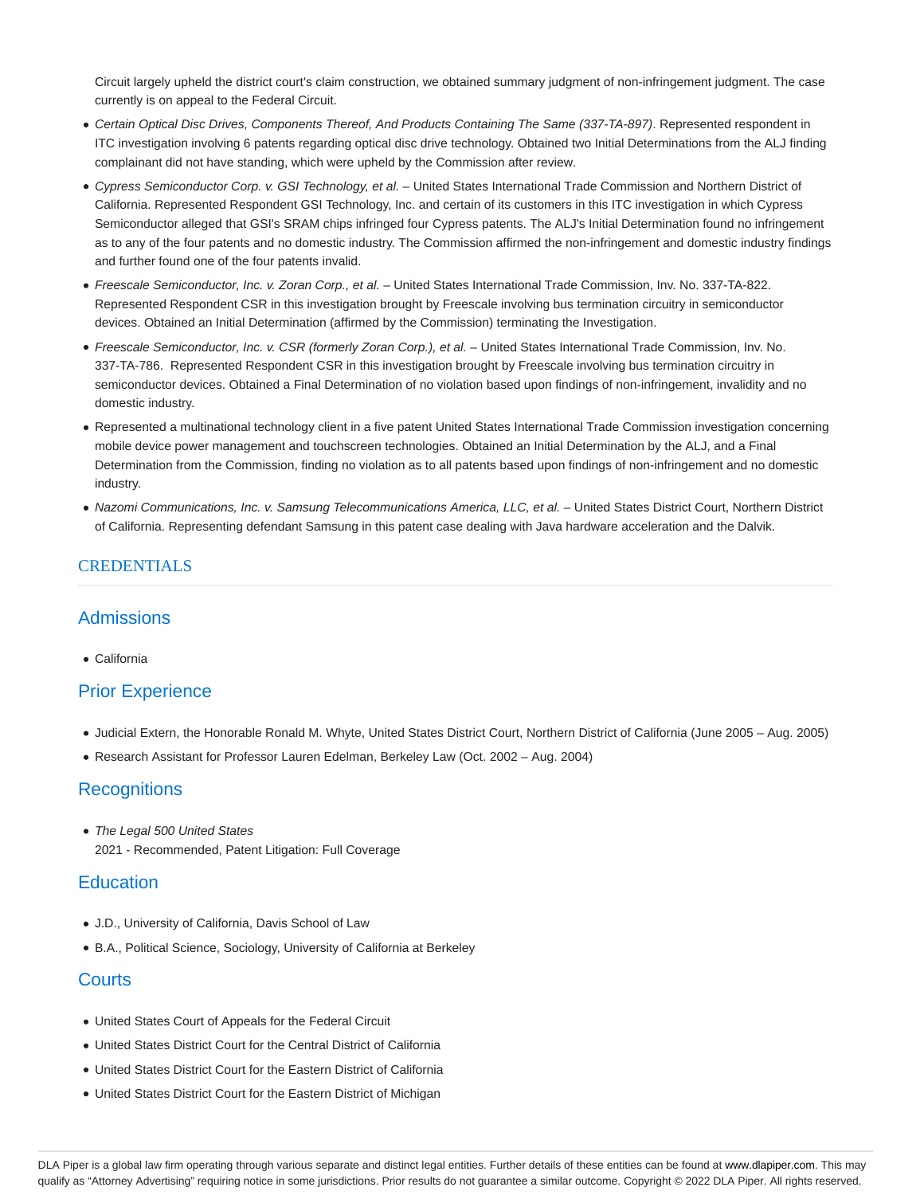Circuit largely upheld the district court's claim construction, we obtained summary judgment of non-infringement judgment. The case currently is on appeal to the Federal Circuit.

- Certain Optical Disc Drives, Components Thereof, And Products Containing The Same (337-TA-897). Represented respondent in ITC investigation involving 6 patents regarding optical disc drive technology. Obtained two Initial Determinations from the ALJ finding complainant did not have standing, which were upheld by the Commission after review.
- Cypress Semiconductor Corp. v. GSI Technology, et al. United States International Trade Commission and Northern District of California. Represented Respondent GSI Technology, Inc. and certain of its customers in this ITC investigation in which Cypress Semiconductor alleged that GSI's SRAM chips infringed four Cypress patents. The ALJ's Initial Determination found no infringement as to any of the four patents and no domestic industry. The Commission affirmed the non-infringement and domestic industry findings and further found one of the four patents invalid.
- Freescale Semiconductor, Inc. v. Zoran Corp., et al. United States International Trade Commission, Inv. No. 337-TA-822. Represented Respondent CSR in this investigation brought by Freescale involving bus termination circuitry in semiconductor devices. Obtained an Initial Determination (affirmed by the Commission) terminating the Investigation.
- Freescale Semiconductor, Inc. v. CSR (formerly Zoran Corp.), et al. United States International Trade Commission, Inv. No. 337-TA-786. Represented Respondent CSR in this investigation brought by Freescale involving bus termination circuitry in semiconductor devices. Obtained a Final Determination of no violation based upon findings of non-infringement, invalidity and no domestic industry.
- Represented a multinational technology client in a five patent United States International Trade Commission investigation concerning mobile device power management and touchscreen technologies. Obtained an Initial Determination by the ALJ, and a Final Determination from the Commission, finding no violation as to all patents based upon findings of non-infringement and no domestic industry.
- Nazomi Communications, Inc. v. Samsung Telecommunications America, LLC, et al. United States District Court, Northern District of California. Representing defendant Samsung in this patent case dealing with Java hardware acceleration and the Dalvik.

### **CREDENTIALS**

## Admissions

California

## Prior Experience

- Judicial Extern, the Honorable Ronald M. Whyte, United States District Court, Northern District of California (June 2005 Aug. 2005)
- Research Assistant for Professor Lauren Edelman, Berkeley Law (Oct. 2002 Aug. 2004)

## **Recognitions**

• The Legal 500 United States 2021 - Recommended, Patent Litigation: Full Coverage

## **Education**

- J.D., University of California, Davis School of Law
- B.A., Political Science, Sociology, University of California at Berkeley

## **Courts**

- United States Court of Appeals for the Federal Circuit
- United States District Court for the Central District of California
- United States District Court for the Eastern District of California
- United States District Court for the Eastern District of Michigan